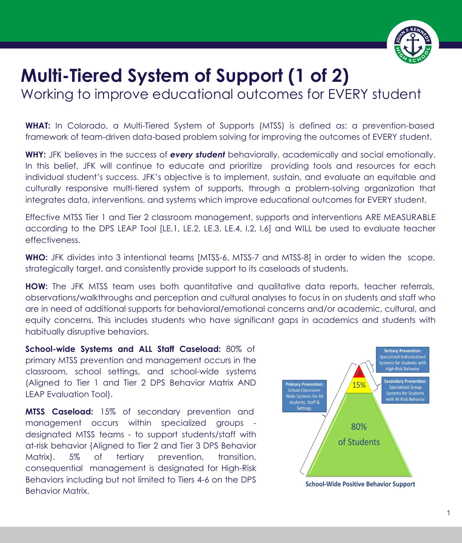

## **Multi-Tiered System of Support (1 of 2)**

Working to improve educational outcomes for EVERY student

**WHAT:** In Colorado, a Multi-Tiered System of Supports (MTSS) is defined as: a prevention-based framework of team-driven data-based problem solving for improving the outcomes of EVERY student.

**WHY:** JFK believes in the success of *every student* behaviorally, academically and social emotionally. In this belief, JFK will continue to educate and prioritize providing tools and resources for each individual student's success. JFK's objective is to implement, sustain, and evaluate an equitable and culturally responsive multi-tiered system of supports, through a problem-solving organization that integrates data, interventions, and systems which improve educational outcomes for EVERY student.

Effective MTSS Tier 1 and Tier 2 classroom management, supports and interventions ARE MEASURABLE according to the DPS LEAP Tool [LE.1, LE.2, LE.3, LE.4, I.2, I.6] and WILL be used to evaluate teacher effectiveness.

**WHO:** JFK divides into 3 intentional teams [MTSS-6, MTSS-7 and MTSS-8] in order to widen the scope, strategically target, and consistently provide support to its caseloads of students.

**HOW:** The JFK MTSS team uses both quantitative and qualitative data reports, teacher referrals, observations/walkthroughs and perception and cultural analyses to focus in on students and staff who are in need of additional supports for behavioral/emotional concerns and/or academic, cultural, and equity concerns. This includes students who have significant gaps in academics and students with habitually disruptive behaviors.

**School-wide Systems and ALL Staff Caseload:** 80% of primary MTSS prevention and management occurs in the classroom, school settings, and school-wide systems (Aligned to Tier 1 and Tier 2 DPS Behavior Matrix AND LEAP Evaluation Tool).

**MTSS Caseload:** 15% of secondary prevention and management occurs within specialized groups designated MTSS teams - to support students/staff with at-risk behavior (Aligned to Tier 2 and Tier 3 DPS Behavior Matrix). 5% of tertiary prevention, transition, consequential management is designated for High-Risk Behaviors including but not limited to Tiers 4-6 on the DPS Behavior Matrix.



**School-Wide Positive Behavior Support**